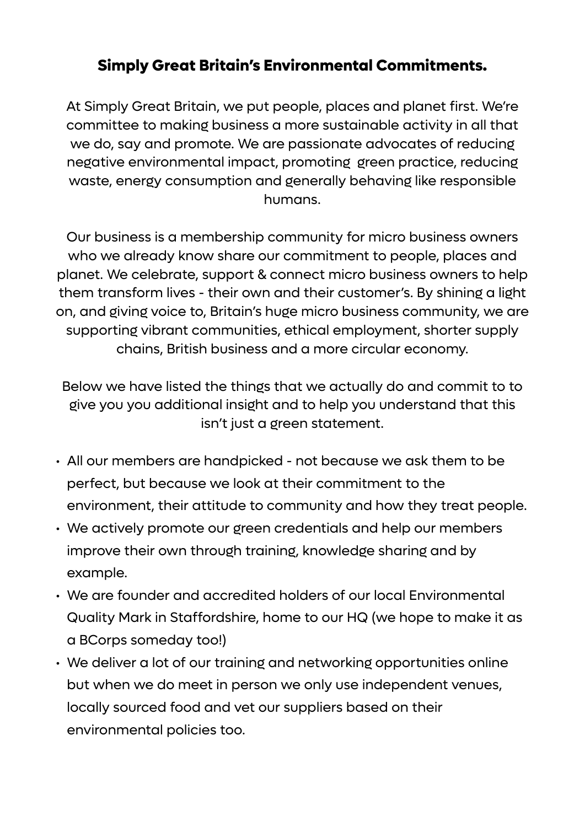## **Simply Great Britain's Environmental Commitments.**

At Simply Great Britain, we put people, places and planet first. We're committee to making business a more sustainable activity in all that we do, say and promote. We are passionate advocates of reducing negative environmental impact, promoting green practice, reducing waste, energy consumption and generally behaving like responsible humans.

Our business is a membership community for micro business owners who we already know share our commitment to people, places and planet. We celebrate, support & connect micro business owners to help them transform lives - their own and their customer's. By shining a light on, and giving voice to, Britain's huge micro business community, we are supporting vibrant communities, ethical employment, shorter supply chains, British business and a more circular economy.

Below we have listed the things that we actually do and commit to to give you you additional insight and to help you understand that this isn't just a green statement.

- All our members are handpicked not because we ask them to be perfect, but because we look at their commitment to the environment, their attitude to community and how they treat people.
- We actively promote our green credentials and help our members improve their own through training, knowledge sharing and by example.
- We are founder and accredited holders of our local Environmental Quality Mark in Staffordshire, home to our HQ (we hope to make it as a BCorps someday too!)
- We deliver a lot of our training and networking opportunities online but when we do meet in person we only use independent venues, locally sourced food and vet our suppliers based on their environmental policies too.